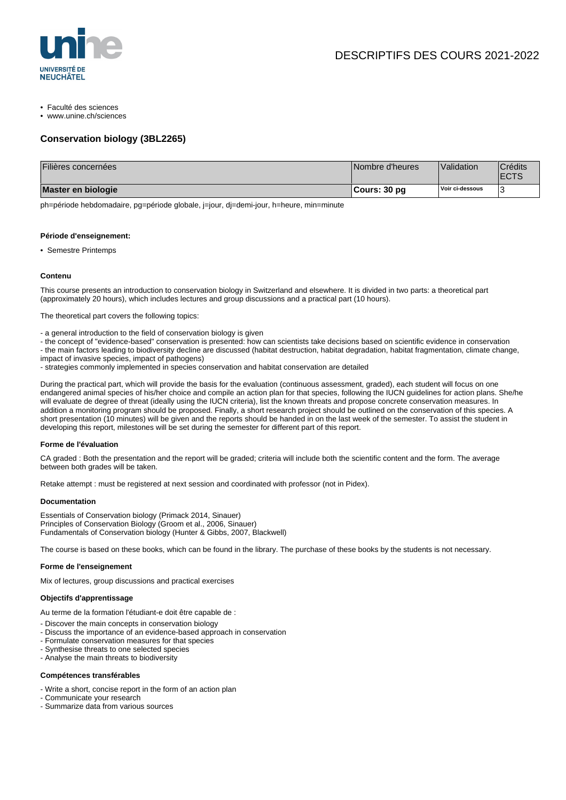

- Faculté des sciences
- www.unine.ch/sciences

# **Conservation biology (3BL2265)**

| Filières concernées | Nombre d'heures | Validation      | <sup>'</sup> Crédits<br><b>ECTS</b> |
|---------------------|-----------------|-----------------|-------------------------------------|
| Master en biologie  | Cours: 30 pg    | Voir ci-dessous |                                     |

ph=période hebdomadaire, pg=période globale, j=jour, dj=demi-jour, h=heure, min=minute

#### **Période d'enseignement:**

• Semestre Printemps

#### **Contenu**

This course presents an introduction to conservation biology in Switzerland and elsewhere. It is divided in two parts: a theoretical part (approximately 20 hours), which includes lectures and group discussions and a practical part (10 hours).

The theoretical part covers the following topics:

- a general introduction to the field of conservation biology is given

- the concept of "evidence-based" conservation is presented: how can scientists take decisions based on scientific evidence in conservation - the main factors leading to biodiversity decline are discussed (habitat destruction, habitat degradation, habitat fragmentation, climate change, impact of invasive species, impact of pathogens)

- strategies commonly implemented in species conservation and habitat conservation are detailed

During the practical part, which will provide the basis for the evaluation (continuous assessment, graded), each student will focus on one endangered animal species of his/her choice and compile an action plan for that species, following the IUCN guidelines for action plans. She/he will evaluate de degree of threat (ideally using the IUCN criteria), list the known threats and propose concrete conservation measures. In addition a monitoring program should be proposed. Finally, a short research project should be outlined on the conservation of this species. A short presentation (10 minutes) will be given and the reports should be handed in on the last week of the semester. To assist the student in developing this report, milestones will be set during the semester for different part of this report.

### **Forme de l'évaluation**

CA graded : Both the presentation and the report will be graded; criteria will include both the scientific content and the form. The average between both grades will be taken.

Retake attempt : must be registered at next session and coordinated with professor (not in Pidex).

#### **Documentation**

Essentials of Conservation biology (Primack 2014, Sinauer) Principles of Conservation Biology (Groom et al., 2006, Sinauer) Fundamentals of Conservation biology (Hunter & Gibbs, 2007, Blackwell)

The course is based on these books, which can be found in the library. The purchase of these books by the students is not necessary.

## **Forme de l'enseignement**

Mix of lectures, group discussions and practical exercises

# **Objectifs d'apprentissage**

Au terme de la formation l'étudiant-e doit être capable de :

- Discover the main concepts in conservation biology
- Discuss the importance of an evidence-based approach in conservation
- Formulate conservation measures for that species
- Synthesise threats to one selected species
- Analyse the main threats to biodiversity

#### **Compétences transférables**

- Write a short, concise report in the form of an action plan
- Communicate your research
- Summarize data from various sources